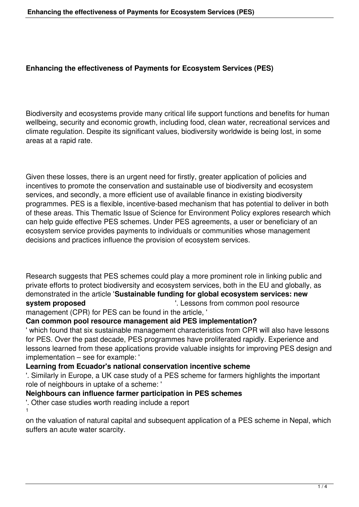#### **Enhancing the effectiveness of Payments for Ecosystem Services (PES)**

Biodiversity and ecosystems provide many critical life support functions and benefits for human wellbeing, security and economic growth, including food, clean water, recreational services and climate regulation. Despite its significant values, biodiversity worldwide is being lost, in some areas at a rapid rate.

Given these losses, there is an urgent need for firstly, greater application of policies and incentives to promote the conservation and sustainable use of biodiversity and ecosystem services, and secondly, a more efficient use of available finance in existing biodiversity programmes. PES is a flexible, incentive-based mechanism that has potential to deliver in both of these areas. This Thematic Issue of Science for Environment Policy explores research which can help guide effective PES schemes. Under PES agreements, a user or beneficiary of an ecosystem service provides payments to individuals or communities whose management decisions and practices influence the provision of ecosystem services.

Research suggests that PES schemes could play a more prominent role in linking public and private efforts to protect biodiversity and ecosystem services, both in the EU and globally, as demonstrated in the article '**Sustainable funding for global ecosystem services: new system proposed i.** Lessons from common pool resource management (CPR) for PES can be found in the article, '

#### **Can common pool resource management aid PES implementation?**

' which found that six sustainable management characteristics from CPR will also have lessons for PES. Over the past decade, PES programmes have proliferated rapidly. Experience and lessons learned from these applications provide valuable insights for improving PES design and implementation – see for example: '

# **Learning from Ecuador's national conservation incentive scheme**

'. Similarly in Europe, a UK case study of a PES scheme for farmers highlights the important role of neighbours in uptake of a scheme: '

## **Neighbours can influence farmer participation in PES schemes**

'. Other case studies worth reading include a report 1

on the valuation of natural capital and subsequent application of a PES scheme in Nepal, which suffers an acute water scarcity.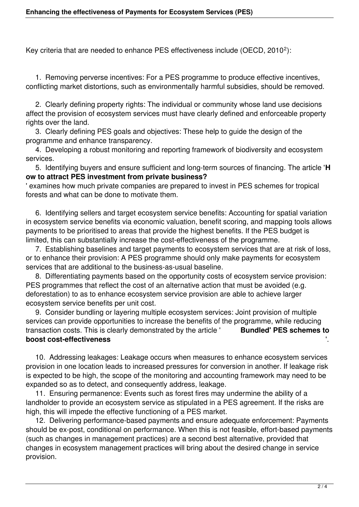Key criteria that are needed to enhance PES effectiveness include (OECD, 2010<sup>2</sup>):

 1. Removing perverse incentives: For a PES programme to produce effective incentives, conflicting market distortions, such as environmentally harmful subsidies, should be removed.

 2. Clearly defining property rights: The individual or community whose land use decisions affect the provision of ecosystem services must have clearly defined and enforceable property rights over the land.

 3. Clearly defining PES goals and objectives: These help to guide the design of the programme and enhance transparency.

 4. Developing a robust monitoring and reporting framework of biodiversity and ecosystem services.

 5. Identifying buyers and ensure sufficient and long-term sources of financing. The article '**H ow to attract PES investment from private business?**

' examines how much private companies are prepared to invest in PES schemes for tropical forests and what can be done to motivate them.

 6. Identifying sellers and target ecosystem service benefits: Accounting for spatial variation in ecosystem service benefits via economic valuation, benefit scoring, and mapping tools allows payments to be prioritised to areas that provide the highest benefits. If the PES budget is limited, this can substantially increase the cost-effectiveness of the programme.

 7. Establishing baselines and target payments to ecosystem services that are at risk of loss, or to enhance their provision: A PES programme should only make payments for ecosystem services that are additional to the business-as-usual baseline.

 8. Differentiating payments based on the opportunity costs of ecosystem service provision: PES programmes that reflect the cost of an alternative action that must be avoided (e.g. deforestation) to as to enhance ecosystem service provision are able to achieve larger ecosystem service benefits per unit cost.

 9. Consider bundling or layering multiple ecosystem services: Joint provision of multiple services can provide opportunities to increase the benefits of the programme, while reducing transaction costs. This is clearly demonstrated by the article ' **Bundled' PES schemes to boost cost-effectiveness** 

 10. Addressing leakages: Leakage occurs when measures to enhance ecosystem services provision in one location leads to increased pressures for conversion in another. If leakage risk is expected to be high, the scope of the monitoring and accounting framework may need to be expanded so as to detect, and consequently address, leakage.

 11. Ensuring permanence: Events such as forest fires may undermine the ability of a landholder to provide an ecosystem service as stipulated in a PES agreement. If the risks are high, this will impede the effective functioning of a PES market.

 12. Delivering performance-based payments and ensure adequate enforcement: Payments should be ex-post, conditional on performance. When this is not feasible, effort-based payments (such as changes in management practices) are a second best alternative, provided that changes in ecosystem management practices will bring about the desired change in service provision.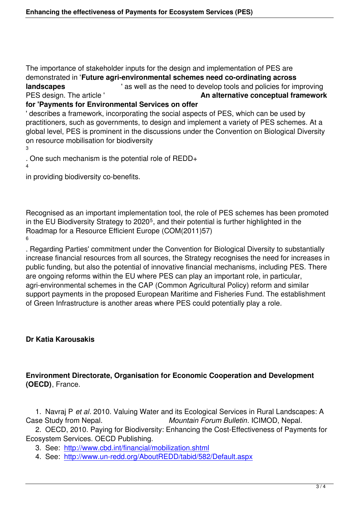The importance of stakeholder inputs for the design and implementation of PES are demonstrated in '**Future agri-environmental schemes need co-ordinating across landscapes** <sup>'</sup> as well as the need to develop tools and policies for improving PES design. The article ' **An alternative conceptual framework for 'Payments for Environmental Services on offer**

' describes a framework, incorporating the social aspects of PES, which can be used by practitioners, such as governments, to design and implement a variety of PES schemes. At a

global level, PES is prominent in the discussions under the Convention on Biological Diversity on resource mobilisation for biodiversity

3

. One such mechanism is the potential role of REDD+

4

in providing biodiversity co-benefits.

Recognised as an important implementation tool, the role of PES schemes has been promoted in the EU Biodiversity Strategy to 2020<sup>5</sup>, and their potential is further highlighted in the Roadmap for a Resource Efficient Europe (COM(2011)57) 6

. Regarding Parties' commitment under the Convention for Biological Diversity to substantially increase financial resources from all sources, the Strategy recognises the need for increases in public funding, but also the potential of innovative financial mechanisms, including PES. There are ongoing reforms within the EU where PES can play an important role, in particular, agri-environmental schemes in the CAP (Common Agricultural Policy) reform and similar support payments in the proposed European Maritime and Fisheries Fund. The establishment of Green Infrastructure is another areas where PES could potentially play a role.

## **Dr Katia Karousakis**

### **Environment Directorate, Organisation for Economic Cooperation and Development (OECD)**, France.

 1. Navraj P *et al*. 2010. Valuing Water and its Ecological Services in Rural Landscapes: A Case Study from Nepal. *Mountain Forum Bulletin*. ICIMOD, Nepal.

 2. OECD, 2010. Paying for Biodiversity: Enhancing the Cost-Effectiveness of Payments for Ecosystem Services. OECD Publishing.

3. See: http://www.cbd.int/financial/mobilization.shtml

4. See: http://www.un-redd.org/AboutREDD/tabid/582/Default.aspx